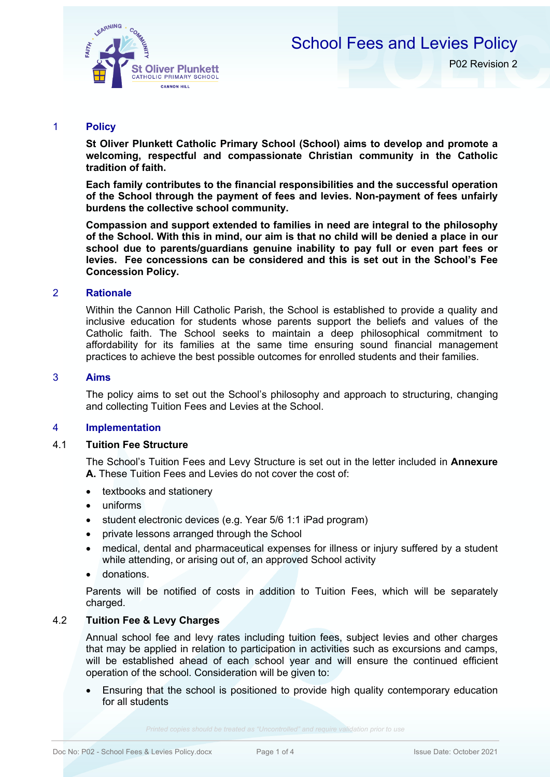

## School Fees and Levies Policy

P02 Revision 2

## 1 **Policy**

**St Oliver Plunkett Catholic Primary School (School) aims to develop and promote a welcoming, respectful and compassionate Christian community in the Catholic tradition of faith.** 

**Each family contributes to the financial responsibilities and the successful operation of the School through the payment of fees and levies. Non-payment of fees unfairly burdens the collective school community.**

**Compassion and support extended to families in need are integral to the philosophy of the School. With this in mind, our aim is that no child will be denied a place in our school due to parents/guardians genuine inability to pay full or even part fees or levies. Fee concessions can be considered and this is set out in the School's Fee Concession Policy.**

## 2 **Rationale**

Within the Cannon Hill Catholic Parish, the School is established to provide a quality and inclusive education for students whose parents support the beliefs and values of the Catholic faith. The School seeks to maintain a deep philosophical commitment to affordability for its families at the same time ensuring sound financial management practices to achieve the best possible outcomes for enrolled students and their families.

## 3 **Aims**

The policy aims to set out the School's philosophy and approach to structuring, changing and collecting Tuition Fees and Levies at the School.

## 4 **Implementation**

## 4.1 **Tuition Fee Structure**

The School's Tuition Fees and Levy Structure is set out in the letter included in **Annexure A.** These Tuition Fees and Levies do not cover the cost of:

- textbooks and stationery
- uniforms
- student electronic devices (e.g. Year 5/6 1:1 iPad program)
- private lessons arranged through the School
- medical, dental and pharmaceutical expenses for illness or injury suffered by a student while attending, or arising out of, an approved School activity
- donations.

Parents will be notified of costs in addition to Tuition Fees, which will be separately charged.

## 4.2 **Tuition Fee & Levy Charges**

Annual school fee and levy rates including tuition fees, subject levies and other charges that may be applied in relation to participation in activities such as excursions and camps, will be established ahead of each school year and will ensure the continued efficient operation of the school. Consideration will be given to:

• Ensuring that the school is positioned to provide high quality contemporary education for all students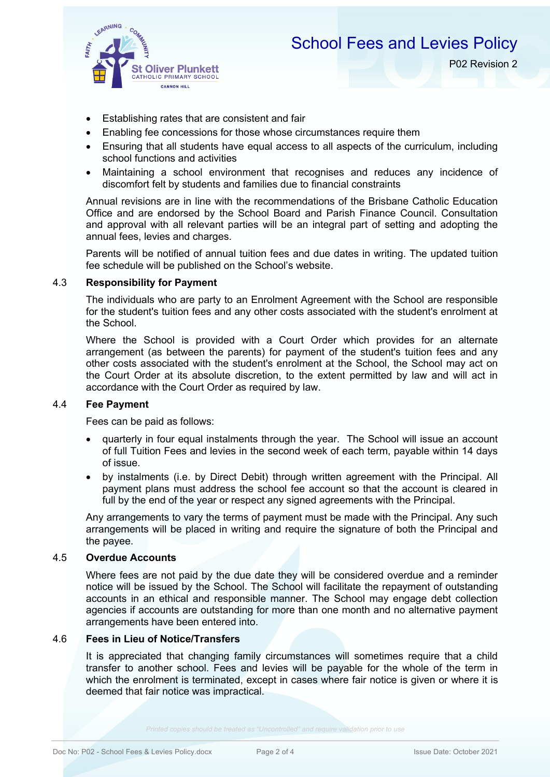

P02 Revision 2

- Establishing rates that are consistent and fair
- Enabling fee concessions for those whose circumstances require them
- Ensuring that all students have equal access to all aspects of the curriculum, including school functions and activities
- Maintaining a school environment that recognises and reduces any incidence of discomfort felt by students and families due to financial constraints

Annual revisions are in line with the recommendations of the Brisbane Catholic Education Office and are endorsed by the School Board and Parish Finance Council. Consultation and approval with all relevant parties will be an integral part of setting and adopting the annual fees, levies and charges.

Parents will be notified of annual tuition fees and due dates in writing. The updated tuition fee schedule will be published on the School's website.

## 4.3 **Responsibility for Payment**

The individuals who are party to an Enrolment Agreement with the School are responsible for the student's tuition fees and any other costs associated with the student's enrolment at the School.

Where the School is provided with a Court Order which provides for an alternate arrangement (as between the parents) for payment of the student's tuition fees and any other costs associated with the student's enrolment at the School, the School may act on the Court Order at its absolute discretion, to the extent permitted by law and will act in accordance with the Court Order as required by law.

## 4.4 **Fee Payment**

Fees can be paid as follows:

- quarterly in four equal instalments through the year. The School will issue an account of full Tuition Fees and levies in the second week of each term, payable within 14 days of issue.
- by instalments (i.e. by Direct Debit) through written agreement with the Principal. All payment plans must address the school fee account so that the account is cleared in full by the end of the year or respect any signed agreements with the Principal.

Any arrangements to vary the terms of payment must be made with the Principal. Any such arrangements will be placed in writing and require the signature of both the Principal and the payee.

## 4.5 **Overdue Accounts**

Where fees are not paid by the due date they will be considered overdue and a reminder notice will be issued by the School. The School will facilitate the repayment of outstanding accounts in an ethical and responsible manner. The School may engage debt collection agencies if accounts are outstanding for more than one month and no alternative payment arrangements have been entered into.

#### 4.6 **Fees in Lieu of Notice/Transfers**

It is appreciated that changing family circumstances will sometimes require that a child transfer to another school. Fees and levies will be payable for the whole of the term in which the enrolment is terminated, except in cases where fair notice is given or where it is deemed that fair notice was impractical.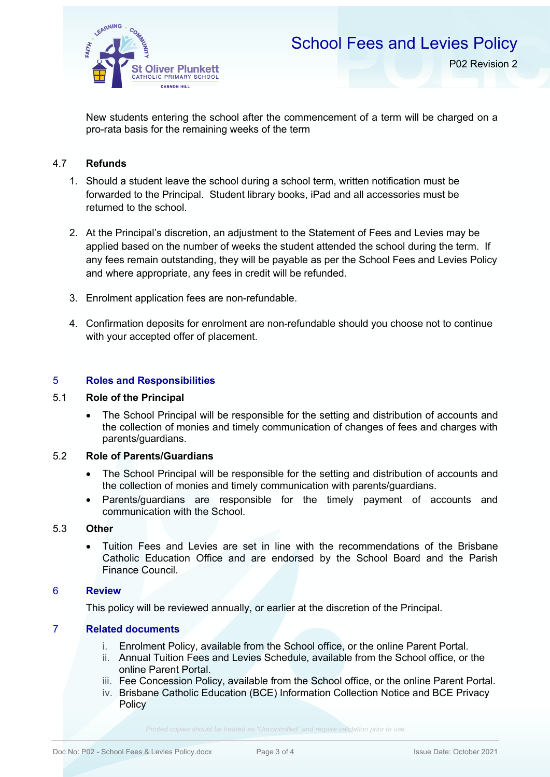

New students entering the school after the commencement of a term will be charged on a pro-rata basis for the remaining weeks of the term

## 4.7 **Refunds**

- 1. Should a student leave the school during a school term, written notification must be forwarded to the Principal. Student library books, iPad and all accessories must be returned to the school.
- 2. At the Principal's discretion, an adjustment to the Statement of Fees and Levies may be applied based on the number of weeks the student attended the school during the term. If any fees remain outstanding, they will be payable as per the School Fees and Levies Policy and where appropriate, any fees in credit will be refunded.
- 3. Enrolment application fees are non-refundable.
- 4. Confirmation deposits for enrolment are non-refundable should you choose not to continue with your accepted offer of placement.

## 5 **Roles and Responsibilities**

## 5.1 **Role of the Principal**

• The School Principal will be responsible for the setting and distribution of accounts and the collection of monies and timely communication of changes of fees and charges with parents/guardians.

## 5.2 **Role of Parents/Guardians**

- The School Principal will be responsible for the setting and distribution of accounts and the collection of monies and timely communication with parents/guardians.
- Parents/guardians are responsible for the timely payment of accounts and communication with the School.

## 5.3 **Other**

• Tuition Fees and Levies are set in line with the recommendations of the Brisbane Catholic Education Office and are endorsed by the School Board and the Parish Finance Council.

## 6 **Review**

This policy will be reviewed annually, or earlier at the discretion of the Principal.

## 7 **Related documents**

- i. Enrolment Policy, available from the School office, or the online Parent Portal.
- ii. Annual Tuition Fees and Levies Schedule, available from the School office, or the online Parent Portal.
- iii. Fee Concession Policy, available from the School office, or the online Parent Portal.
- iv. Brisbane Catholic Education (BCE) Information Collection Notice and BCE Privacy **Policy**